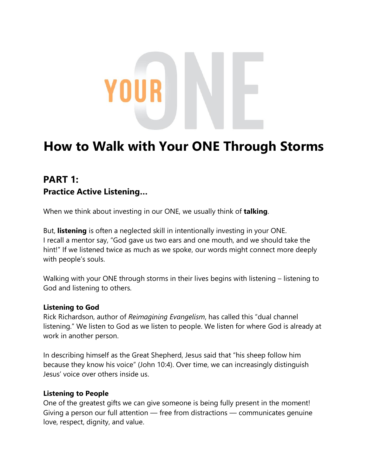# **How to Walk with Your ONE Through Storms**

## **PART 1: Practice Active Listening…**

When we think about investing in our ONE, we usually think of **talking**.

But, **listening** is often a neglected skill in intentionally investing in your ONE. I recall a mentor say, "God gave us two ears and one mouth, and we should take the hint!" If we listened twice as much as we spoke, our words might connect more deeply with people's souls.

Walking with your ONE through storms in their lives begins with listening – listening to God and listening to others.

#### **Listening to God**

Rick Richardson, author of *Reimagining Evangelism*, has called this "dual channel listening." We listen to God as we listen to people. We listen for where God is already at work in another person.

In describing himself as the Great Shepherd, Jesus said that "his sheep follow him because they know his voice" (John 10:4). Over time, we can increasingly distinguish Jesus' voice over others inside us.

### **Listening to People**

One of the greatest gifts we can give someone is being fully present in the moment! Giving a person our full attention — free from distractions — communicates genuine love, respect, dignity, and value.